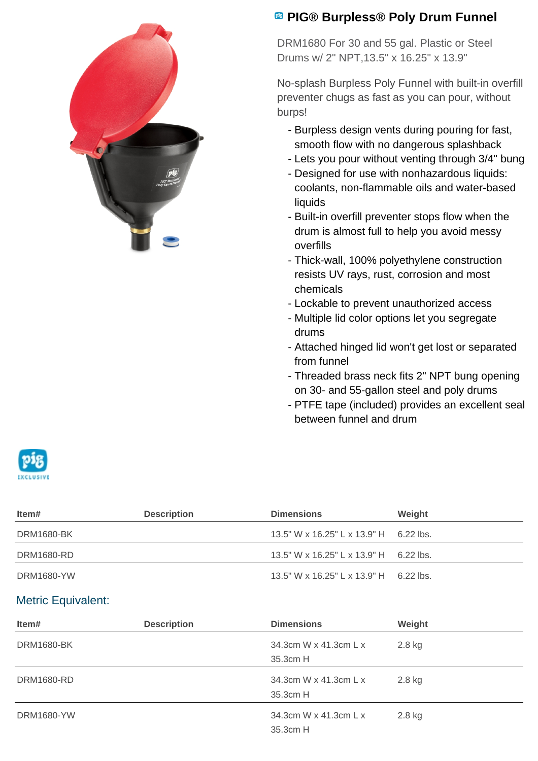

## **<sup><b>B</sup>** PIG® Burpless® Poly Drum Funnel</sup>

DRM1680 For 30 and 55 gal. Plastic or Steel Drums w/ 2" NPT,13.5" x 16.25" x 13.9"

No-splash Burpless Poly Funnel with built-in overfill preventer chugs as fast as you can pour, without burps!

- Burpless design vents during pouring for fast, smooth flow with no dangerous splashback
- Lets you pour without venting through 3/4" bung
- Designed for use with nonhazardous liquids: coolants, non-flammable oils and water-based liquids
- Built-in overfill preventer stops flow when the drum is almost full to help you avoid messy overfills
- Thick-wall, 100% polyethylene construction resists UV rays, rust, corrosion and most chemicals
- Lockable to prevent unauthorized access
- Multiple lid color options let you segregate drums
- Attached hinged lid won't get lost or separated from funnel
- Threaded brass neck fits 2" NPT bung opening on 30- and 55-gallon steel and poly drums
- PTFE tape (included) provides an excellent seal between funnel and drum



| ltem#      | <b>Description</b> | <b>Dimensions</b>                         | Weight |
|------------|--------------------|-------------------------------------------|--------|
| DRM1680-BK |                    | 13.5" W x 16.25" L x 13.9" H 6.22 lbs.    |        |
| DRM1680-RD |                    | $13.5$ " W x 16.25" L x 13.9" H 6.22 lbs. |        |
| DRM1680-YW |                    | 13.5" W x 16.25" L x 13.9" H 6.22 lbs.    |        |

## Metric Equivalent:

| Item#             | <b>Description</b> | <b>Dimensions</b>                 | Weight |
|-------------------|--------------------|-----------------------------------|--------|
| <b>DRM1680-BK</b> |                    | 34.3cm W x 41.3cm L x<br>35.3cm H | 2.8 kg |
| <b>DRM1680-RD</b> |                    | 34.3cm W x 41.3cm L x<br>35.3cm H | 2.8 kg |
| <b>DRM1680-YW</b> |                    | 34.3cm W x 41.3cm L x<br>35.3cm H | 2.8 kg |